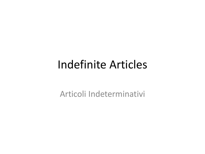#### Indefinite Articles

Articoli Indeterminativi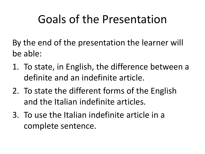## Goals of the Presentation

By the end of the presentation the learner will be able:

- 1. To state, in English, the difference between a definite and an indefinite article.
- 2. To state the different forms of the English and the Italian indefinite articles.
- 3. To use the Italian indefinite article in a complete sentence.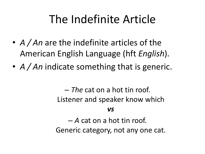## The Indefinite Article

- *A / An* are the indefinite articles of the American English Language (hft *English*).
- *A / An* indicate something that is generic.

– *The* cat on a hot tin roof. Listener and speaker know which *vs*

– *A* cat on a hot tin roof. Generic category, not any one cat.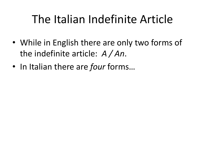## The Italian Indefinite Article

- While in English there are only two forms of the indefinite article: *A / An*.
- In Italian there are *four* forms…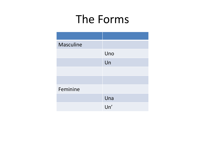#### The Forms

| <b>Masculine</b> |     |
|------------------|-----|
|                  | Uno |
|                  | Un  |
|                  |     |
|                  |     |
| Feminine         |     |
|                  | Una |
|                  | Un' |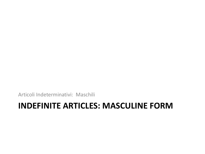Articoli Indeterminativi: Maschili

#### **INDEFINITE ARTICLES: MASCULINE FORM**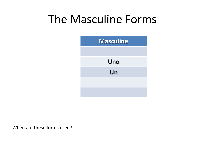#### The Masculine Forms



When are these forms used?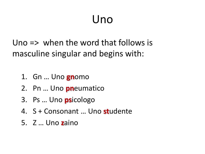## Uno

Uno  $\Rightarrow$  when the word that follows is masculine singular and begins with:

- 1. Gn ... Uno gnomo
- 2. Pn ... Uno **pn**eumatico
- 3. Ps ... Uno psicologo
- 4. S + Consonant ... Uno studente
- 5. Z ... Uno zaino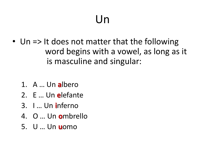## Un

- Un => It does not matter that the following word begins with a vowel, as long as it is masculine and singular:
	- 1. A ... Un albero
	- 2. E ... Un elefante
	- 3. I... Un inferno
	- 4. O ... Un ombrello
	- 5. U ... Un **u**omo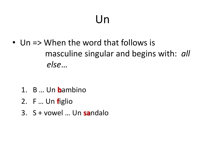## Un

• Un  $\Rightarrow$  When the word that follows is masculine singular and begins with: all else...

- 1. B ... Un **b**ambino
- 2. F ... Un figlio
- 3. S + vowel ... Un sandalo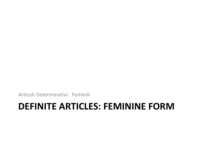Articoli Determinativi: Feminili

#### **DEFINITE ARTICLES: FEMININE FORM**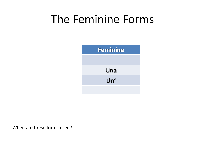#### The Feminine Forms



When are these forms used?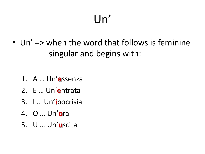# $Un'$

• Un' => when the word that follows is feminine singular and begins with:

- 1. A ... Un'assenza
- 2. E ... Un'entrata
- 3. I ... Un'ipocrisia
- 4. O ... Un'ora
- 5. U ... Un'uscita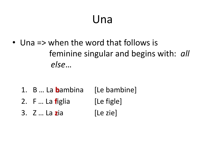#### Una

• Una => when the word that follows is feminine singular and begins with: all  $else...$ 

- 1. B ... La **b**ambina [Le bambine] 2. F ... La figlia [Le figle]
- 3. Z ... La zia [Le zie]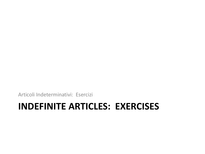Articoli Indeterminativi: Esercizi

#### **INDEFINITE ARTICLES: EXERCISES**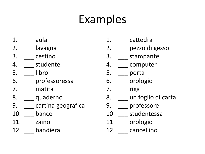### Examples

- 1. aula
- 2. lavagna
- 3. \_\_\_ cestino
- 4. studente
- 5. libro
- 6. \_\_\_ professoressa
- 7. \_\_\_ matita
- 8. quaderno
- 9. cartina geografica
- 10. banco
- 11. zaino
- 12. bandiera
- 1. cattedra
- 2. \_\_\_ pezzo di gesso
- 3. \_\_\_ stampante
- 4. computer
- 5. porta
- 6. \_\_\_ orologio
- 7. riga
- 8. \_\_\_ un foglio di carta
- 9. professore
- 10. studentessa
- 11. orologio
- 12. cancellino